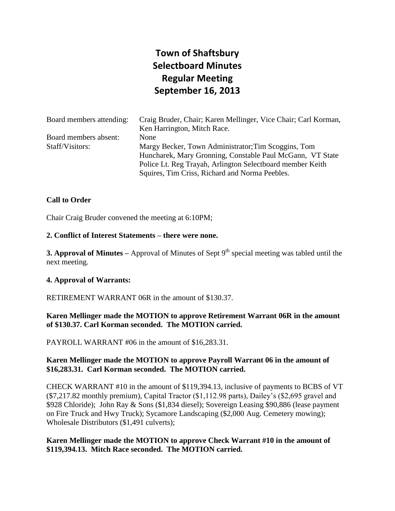# **Town of Shaftsbury Selectboard Minutes Regular Meeting September 16, 2013**

| Board members attending: | Craig Bruder, Chair; Karen Mellinger, Vice Chair; Carl Korman,<br>Ken Harrington, Mitch Race. |
|--------------------------|-----------------------------------------------------------------------------------------------|
| Board members absent:    | None                                                                                          |
| Staff/Visitors:          | Margy Becker, Town Administrator; Tim Scoggins, Tom                                           |
|                          | Huncharek, Mary Gronning, Constable Paul McGann, VT State                                     |
|                          | Police Lt. Reg Trayah, Arlington Selectboard member Keith                                     |
|                          | Squires, Tim Criss, Richard and Norma Peebles.                                                |

## **Call to Order**

Chair Craig Bruder convened the meeting at 6:10PM;

#### **2. Conflict of Interest Statements – there were none.**

**3. Approval of Minutes** – Approval of Minutes of Sept 9<sup>th</sup> special meeting was tabled until the next meeting.

#### **4. Approval of Warrants:**

RETIREMENT WARRANT 06R in the amount of \$130.37.

## **Karen Mellinger made the MOTION to approve Retirement Warrant 06R in the amount of \$130.37. Carl Korman seconded. The MOTION carried.**

PAYROLL WARRANT #06 in the amount of \$16,283.31.

## **Karen Mellinger made the MOTION to approve Payroll Warrant 06 in the amount of \$16,283.31. Carl Korman seconded. The MOTION carried.**

CHECK WARRANT #10 in the amount of \$119,394.13, inclusive of payments to BCBS of VT (\$7,217.82 monthly premium), Capital Tractor (\$1,112.98 parts), Dailey's (\$2,695 gravel and \$928 Chloride); John Ray & Sons (\$1,834 diesel); Sovereign Leasing \$90,886 (lease payment on Fire Truck and Hwy Truck); Sycamore Landscaping (\$2,000 Aug. Cemetery mowing); Wholesale Distributors (\$1,491 culverts);

## **Karen Mellinger made the MOTION to approve Check Warrant #10 in the amount of \$119,394.13. Mitch Race seconded. The MOTION carried.**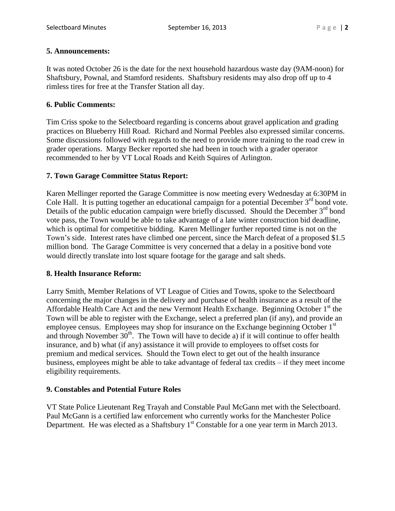# **5. Announcements:**

It was noted October 26 is the date for the next household hazardous waste day (9AM-noon) for Shaftsbury, Pownal, and Stamford residents. Shaftsbury residents may also drop off up to 4 rimless tires for free at the Transfer Station all day.

# **6. Public Comments:**

Tim Criss spoke to the Selectboard regarding is concerns about gravel application and grading practices on Blueberry Hill Road. Richard and Normal Peebles also expressed similar concerns. Some discussions followed with regards to the need to provide more training to the road crew in grader operations. Margy Becker reported she had been in touch with a grader operator recommended to her by VT Local Roads and Keith Squires of Arlington.

# **7. Town Garage Committee Status Report:**

Karen Mellinger reported the Garage Committee is now meeting every Wednesday at 6:30PM in Cole Hall. It is putting together an educational campaign for a potential December  $3<sup>rd</sup>$  bond vote. Details of the public education campaign were briefly discussed. Should the December  $3<sup>rd</sup>$  bond vote pass, the Town would be able to take advantage of a late winter construction bid deadline, which is optimal for competitive bidding. Karen Mellinger further reported time is not on the Town's side. Interest rates have climbed one percent, since the March defeat of a proposed \$1.5 million bond. The Garage Committee is very concerned that a delay in a positive bond vote would directly translate into lost square footage for the garage and salt sheds.

## **8. Health Insurance Reform:**

Larry Smith, Member Relations of VT League of Cities and Towns, spoke to the Selectboard concerning the major changes in the delivery and purchase of health insurance as a result of the Affordable Health Care Act and the new Vermont Health Exchange. Beginning October  $1<sup>st</sup>$  the Town will be able to register with the Exchange, select a preferred plan (if any), and provide an employee census. Employees may shop for insurance on the Exchange beginning October 1<sup>st</sup> and through November  $30<sup>th</sup>$ . The Town will have to decide a) if it will continue to offer health insurance, and b) what (if any) assistance it will provide to employees to offset costs for premium and medical services. Should the Town elect to get out of the health insurance business, employees might be able to take advantage of federal tax credits – if they meet income eligibility requirements.

# **9. Constables and Potential Future Roles**

VT State Police Lieutenant Reg Trayah and Constable Paul McGann met with the Selectboard. Paul McGann is a certified law enforcement who currently works for the Manchester Police Department. He was elected as a Shaftsbury  $1<sup>st</sup>$  Constable for a one year term in March 2013.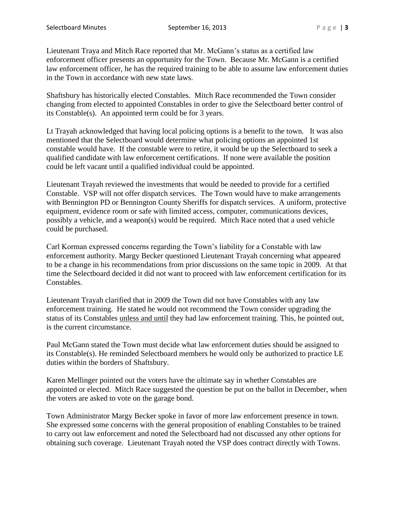Lieutenant Traya and Mitch Race reported that Mr. McGann's status as a certified law enforcement officer presents an opportunity for the Town. Because Mr. McGann is a certified law enforcement officer, he has the required training to be able to assume law enforcement duties in the Town in accordance with new state laws.

Shaftsbury has historically elected Constables. Mitch Race recommended the Town consider changing from elected to appointed Constables in order to give the Selectboard better control of its Constable(s). An appointed term could be for 3 years.

Lt Trayah acknowledged that having local policing options is a benefit to the town. It was also mentioned that the Selectboard would determine what policing options an appointed 1st constable would have. If the constable were to retire, it would be up the Selectboard to seek a qualified candidate with law enforcement certifications. If none were available the position could be left vacant until a qualified individual could be appointed.

Lieutenant Trayah reviewed the investments that would be needed to provide for a certified Constable. VSP will not offer dispatch services. The Town would have to make arrangements with Bennington PD or Bennington County Sheriffs for dispatch services. A uniform, protective equipment, evidence room or safe with limited access, computer, communications devices, possibly a vehicle, and a weapon(s) would be required. Mitch Race noted that a used vehicle could be purchased.

Carl Korman expressed concerns regarding the Town's liability for a Constable with law enforcement authority. Margy Becker questioned Lieutenant Trayah concerning what appeared to be a change in his recommendations from prior discussions on the same topic in 2009. At that time the Selectboard decided it did not want to proceed with law enforcement certification for its Constables.

Lieutenant Trayah clarified that in 2009 the Town did not have Constables with any law enforcement training. He stated he would not recommend the Town consider upgrading the status of its Constables unless and until they had law enforcement training. This, he pointed out, is the current circumstance.

Paul McGann stated the Town must decide what law enforcement duties should be assigned to its Constable(s). He reminded Selectboard members he would only be authorized to practice LE duties within the borders of Shaftsbury.

Karen Mellinger pointed out the voters have the ultimate say in whether Constables are appointed or elected. Mitch Race suggested the question be put on the ballot in December, when the voters are asked to vote on the garage bond.

Town Administrator Margy Becker spoke in favor of more law enforcement presence in town. She expressed some concerns with the general proposition of enabling Constables to be trained to carry out law enforcement and noted the Selectboard had not discussed any other options for obtaining such coverage. Lieutenant Trayah noted the VSP does contract directly with Towns.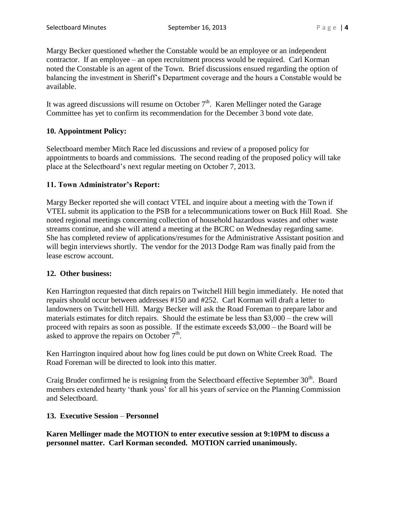Margy Becker questioned whether the Constable would be an employee or an independent contractor. If an employee – an open recruitment process would be required. Carl Korman noted the Constable is an agent of the Town. Brief discussions ensued regarding the option of balancing the investment in Sheriff's Department coverage and the hours a Constable would be available.

It was agreed discussions will resume on October  $7<sup>th</sup>$ . Karen Mellinger noted the Garage Committee has yet to confirm its recommendation for the December 3 bond vote date.

# **10. Appointment Policy:**

Selectboard member Mitch Race led discussions and review of a proposed policy for appointments to boards and commissions. The second reading of the proposed policy will take place at the Selectboard's next regular meeting on October 7, 2013.

# **11. Town Administrator's Report:**

Margy Becker reported she will contact VTEL and inquire about a meeting with the Town if VTEL submit its application to the PSB for a telecommunications tower on Buck Hill Road. She noted regional meetings concerning collection of household hazardous wastes and other waste streams continue, and she will attend a meeting at the BCRC on Wednesday regarding same. She has completed review of applications/resumes for the Administrative Assistant position and will begin interviews shortly. The vendor for the 2013 Dodge Ram was finally paid from the lease escrow account.

## **12. Other business:**

Ken Harrington requested that ditch repairs on Twitchell Hill begin immediately. He noted that repairs should occur between addresses #150 and #252. Carl Korman will draft a letter to landowners on Twitchell Hill. Margy Becker will ask the Road Foreman to prepare labor and materials estimates for ditch repairs. Should the estimate be less than \$3,000 – the crew will proceed with repairs as soon as possible. If the estimate exceeds \$3,000 – the Board will be asked to approve the repairs on October  $7<sup>th</sup>$ .

Ken Harrington inquired about how fog lines could be put down on White Creek Road. The Road Foreman will be directed to look into this matter.

Craig Bruder confirmed he is resigning from the Selectboard effective September 30<sup>th</sup>. Board members extended hearty 'thank yous' for all his years of service on the Planning Commission and Selectboard.

## **13. Executive Session** – **Personnel**

**Karen Mellinger made the MOTION to enter executive session at 9:10PM to discuss a personnel matter. Carl Korman seconded. MOTION carried unanimously.**